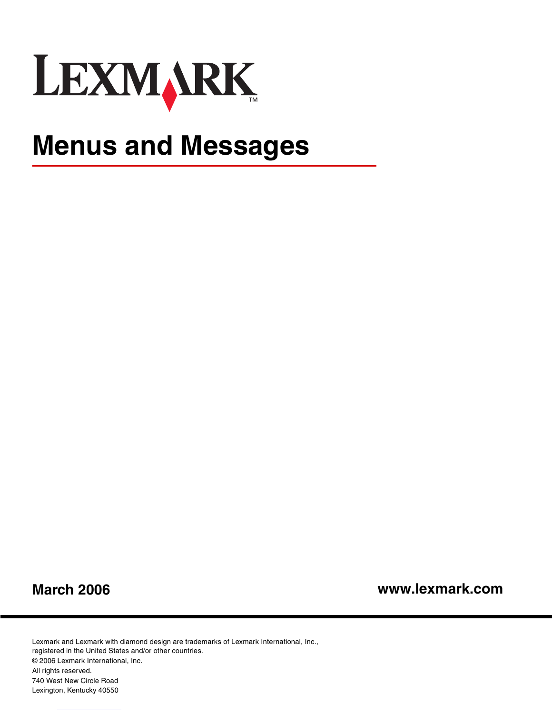

# **Menus and Messages**

**March 2006**

**www.lexmark.com**

Lexmark and Lexmark with diamond design are trademarks of Lexmark International, Inc., registered in the United States and/or other countries. © 2006 Lexmark International, Inc. All rights reserved. 740 West New Circle Road Lexington, Kentucky 40550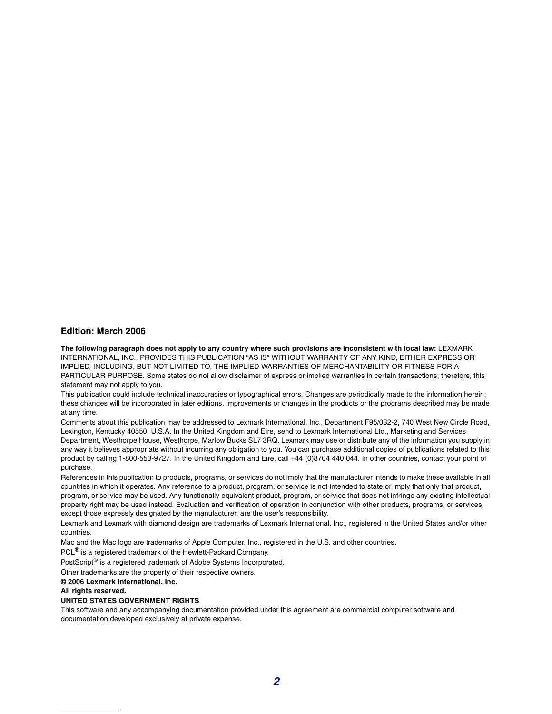#### **Edition: March 2006**

**The following paragraph does not apply to any country where such provisions are inconsistent with local law:** LEXMARK INTERNATIONAL, INC., PROVIDES THIS PUBLICATION "AS IS" WITHOUT WARRANTY OF ANY KIND, EITHER EXPRESS OR IMPLIED, INCLUDING, BUT NOT LIMITED TO, THE IMPLIED WARRANTIES OF MERCHANTABILITY OR FITNESS FOR A PARTICULAR PURPOSE. Some states do not allow disclaimer of express or implied warranties in certain transactions; therefore, this statement may not apply to you.

This publication could include technical inaccuracies or typographical errors. Changes are periodically made to the information herein; these changes will be incorporated in later editions. Improvements or changes in the products or the programs described may be made at any time.

Comments about this publication may be addressed to Lexmark International, Inc., Department F95/032-2, 740 West New Circle Road, Lexington, Kentucky 40550, U.S.A. In the United Kingdom and Eire, send to Lexmark International Ltd., Marketing and Services Department, Westhorpe House, Westhorpe, Marlow Bucks SL7 3RQ. Lexmark may use or distribute any of the information you supply in any way it believes appropriate without incurring any obligation to you. You can purchase additional copies of publications related to this product by calling 1-800-553-9727. In the United Kingdom and Eire, call +44 (0)8704 440 044. In other countries, contact your point of purchase.

References in this publication to products, programs, or services do not imply that the manufacturer intends to make these available in all countries in which it operates. Any reference to a product, program, or service is not intended to state or imply that only that product, program, or service may be used. Any functionally equivalent product, program, or service that does not infringe any existing intellectual property right may be used instead. Evaluation and verification of operation in conjunction with other products, programs, or services, except those expressly designated by the manufacturer, are the user's responsibility.

Lexmark and Lexmark with diamond design are trademarks of Lexmark International, Inc., registered in the United States and/or other countries.

Mac and the Mac logo are trademarks of Apple Computer, Inc., registered in the U.S. and other countries.

PCL<sup>®</sup> is a registered trademark of the Hewlett-Packard Company.

PostScript<sup>®</sup> is a registered trademark of Adobe Systems Incorporated.

Other trademarks are the property of their respective owners.

**© 2006 Lexmark International, Inc.**

#### **All rights reserved.**

#### **UNITED STATES GOVERNMENT RIGHTS**

This software and any accompanying documentation provided under this agreement are commercial computer software and documentation developed exclusively at private expense.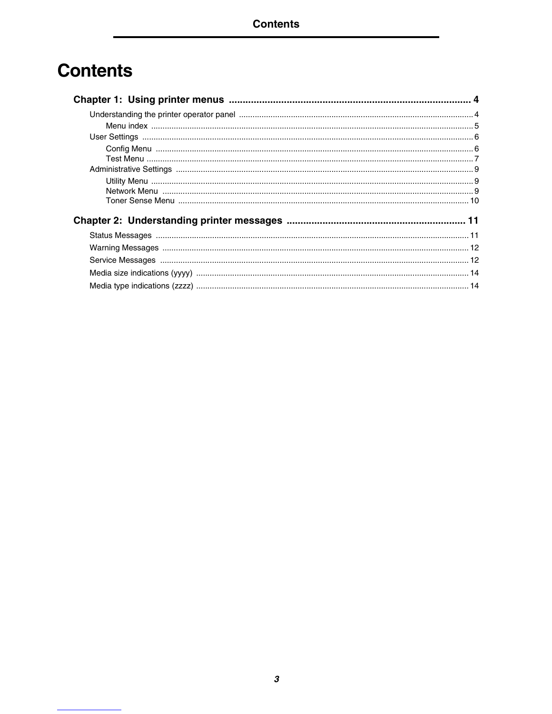## **Contents**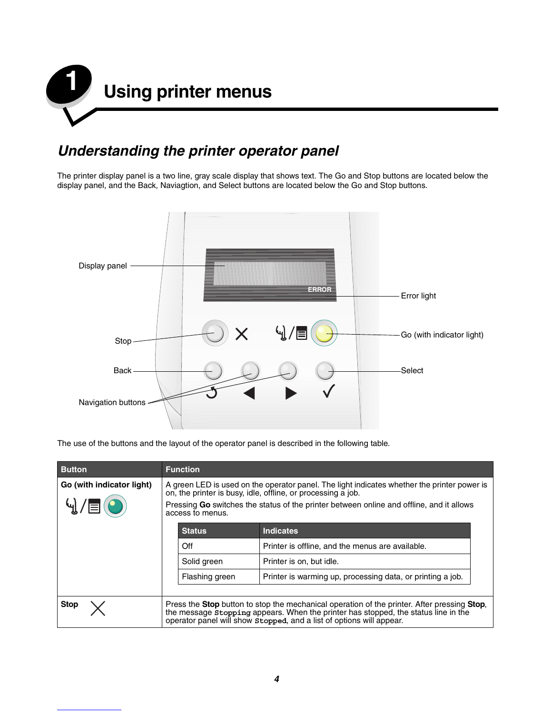

### *Understanding the printer operator panel*

The printer display panel is a two line, gray scale display that shows text. The Go and Stop buttons are located below the display panel, and the Back, Naviagtion, and Select buttons are located below the Go and Stop buttons.



The use of the buttons and the layout of the operator panel is described in the following table.

| <b>Button</b>             | <b>Function</b>                                                                                                                                                                                                                                                             |                                                  |                                                            |  |
|---------------------------|-----------------------------------------------------------------------------------------------------------------------------------------------------------------------------------------------------------------------------------------------------------------------------|--------------------------------------------------|------------------------------------------------------------|--|
| Go (with indicator light) | A green LED is used on the operator panel. The light indicates whether the printer power is<br>on, the printer is busy, idle, offline, or processing a job.<br>Pressing Go switches the status of the printer between online and offline, and it allows<br>access to menus. |                                                  |                                                            |  |
|                           |                                                                                                                                                                                                                                                                             | <b>Status</b><br><b>Indicates</b>                |                                                            |  |
|                           | Off                                                                                                                                                                                                                                                                         | Printer is offline, and the menus are available. |                                                            |  |
|                           |                                                                                                                                                                                                                                                                             | Solid green<br>Printer is on, but idle.          |                                                            |  |
|                           |                                                                                                                                                                                                                                                                             | Flashing green                                   | Printer is warming up, processing data, or printing a job. |  |
|                           |                                                                                                                                                                                                                                                                             |                                                  |                                                            |  |
| <b>Stop</b>               | Press the <b>Stop</b> button to stop the mechanical operation of the printer. After pressing <b>Stop</b> ,<br>the message stopping appears. When the printer has stopped, the status line in the<br>operator panel will show stopped, and a list of options will appear.    |                                                  |                                                            |  |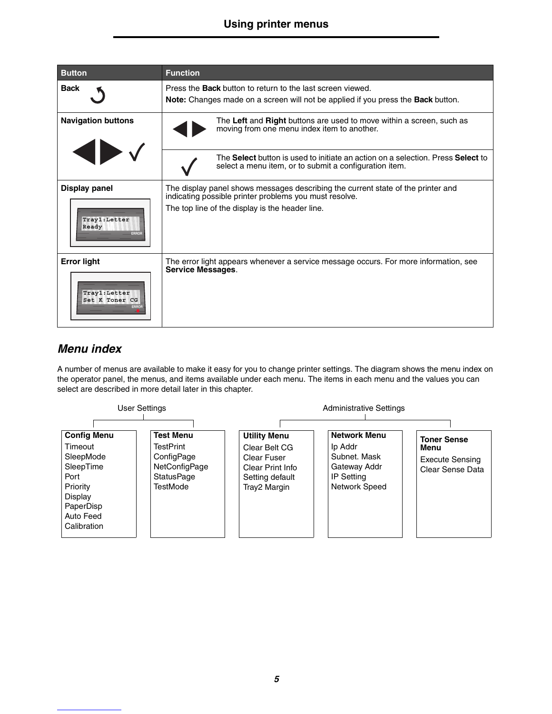| <b>Button</b>                                                         | <b>Function</b>                                                                                                                                                                               |
|-----------------------------------------------------------------------|-----------------------------------------------------------------------------------------------------------------------------------------------------------------------------------------------|
| <b>Back</b>                                                           | Press the <b>Back</b> button to return to the last screen viewed.<br>Note: Changes made on a screen will not be applied if you press the <b>Back</b> button.                                  |
| <b>Navigation buttons</b>                                             | The Left and Right buttons are used to move within a screen, such as<br>moving from one menu index item to another.                                                                           |
|                                                                       | The Select button is used to initiate an action on a selection. Press Select to<br>select a menu item, or to submit a configuration item.                                                     |
| <b>Display panel</b><br>Tray1:Letter<br>Ready<br><b>ERROR</b>         | The display panel shows messages describing the current state of the printer and<br>indicating possible printer problems you must resolve.<br>The top line of the display is the header line. |
| <b>Error light</b><br>Tray1: Letter<br>Set K Toner CG<br><b>ERROR</b> | The error light appears whenever a service message occurs. For more information, see<br><b>Service Messages.</b>                                                                              |

#### *Menu index*

A number of menus are available to make it easy for you to change printer settings. The diagram shows the menu index on the operator panel, the menus, and items available under each menu. The items in each menu and the values you can select are described in more detail later in this chapter.

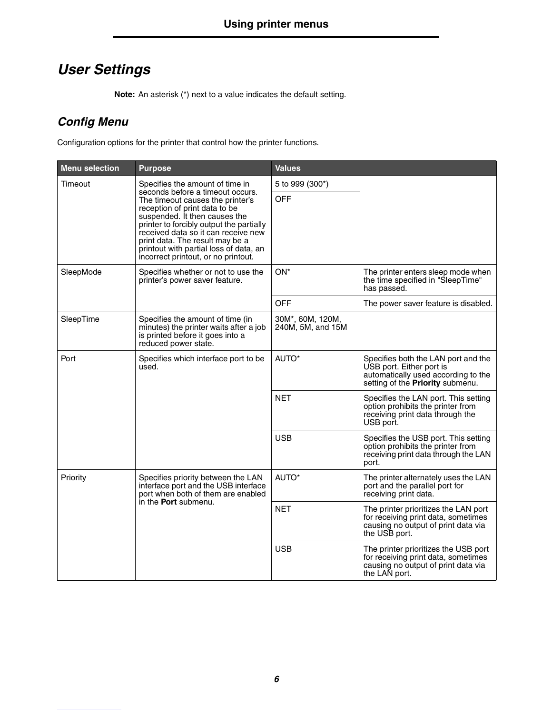### *User Settings*

**Note:** An asterisk (\*) next to a value indicates the default setting.

### *Config Menu*

Configuration options for the printer that control how the printer functions.

| <b>Menu selection</b> | <b>Purpose</b>                                                                                                                                                                                                                                                                                                                                | <b>Values</b>                         |                                                                                                                                            |
|-----------------------|-----------------------------------------------------------------------------------------------------------------------------------------------------------------------------------------------------------------------------------------------------------------------------------------------------------------------------------------------|---------------------------------------|--------------------------------------------------------------------------------------------------------------------------------------------|
| Timeout               | Specifies the amount of time in                                                                                                                                                                                                                                                                                                               | 5 to 999 (300*)                       |                                                                                                                                            |
|                       | seconds before a timeout occurs.<br>The timeout causes the printer's<br>reception of print data to be<br>suspended. It then causes the<br>printer to forcibly output the partially<br>received data so it can receive new<br>print data. The result may be a<br>printout with partial loss of data, an<br>incorrect printout, or no printout. | <b>OFF</b>                            |                                                                                                                                            |
| SleepMode             | Specifies whether or not to use the<br>printer's power saver feature.                                                                                                                                                                                                                                                                         | ON*                                   | The printer enters sleep mode when<br>the time specified in "SleepTime"<br>has passed.                                                     |
|                       |                                                                                                                                                                                                                                                                                                                                               | <b>OFF</b>                            | The power saver feature is disabled.                                                                                                       |
| SleepTime             | Specifies the amount of time (in<br>minutes) the printer waits after a job<br>is printed before it goes into a<br>reduced power state.                                                                                                                                                                                                        | 30M*, 60M, 120M,<br>240M, 5M, and 15M |                                                                                                                                            |
| Port                  | Specifies which interface port to be<br>used.                                                                                                                                                                                                                                                                                                 | AUTO*                                 | Specifies both the LAN port and the<br>USB port. Either port is<br>automatically used according to the<br>setting of the Priority submenu. |
|                       |                                                                                                                                                                                                                                                                                                                                               | <b>NET</b>                            | Specifies the LAN port. This setting<br>option prohibits the printer from<br>receiving print data through the<br>USB port.                 |
|                       |                                                                                                                                                                                                                                                                                                                                               | <b>USB</b>                            | Specifies the USB port. This setting<br>option prohibits the printer from<br>receiving print data through the LAN<br>port.                 |
| Priority              | Specifies priority between the LAN<br>interface port and the USB interface<br>port when both of them are enabled<br>in the <b>Port</b> submenu.                                                                                                                                                                                               | AUTO*                                 | The printer alternately uses the LAN<br>port and the parallel port for<br>receiving print data.                                            |
|                       |                                                                                                                                                                                                                                                                                                                                               | <b>NET</b>                            | The printer prioritizes the LAN port<br>for receiving print data, sometimes<br>causing no output of print data via<br>the USB port.        |
|                       |                                                                                                                                                                                                                                                                                                                                               | <b>USB</b>                            | The printer prioritizes the USB port<br>for receiving print data, sometimes<br>causing no output of print data via<br>the LAN port.        |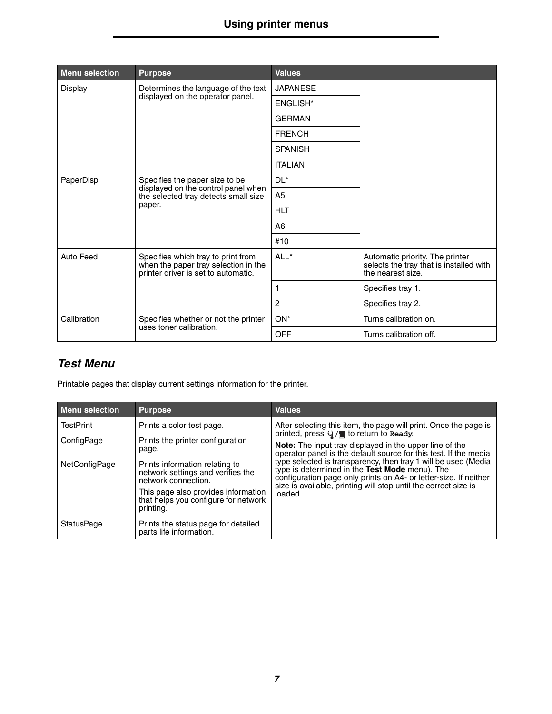| <b>Menu selection</b>                                                          | <b>Purpose</b>                                                                                                          | <b>Values</b>          |                                                                                                 |
|--------------------------------------------------------------------------------|-------------------------------------------------------------------------------------------------------------------------|------------------------|-------------------------------------------------------------------------------------------------|
| Display                                                                        | Determines the language of the text                                                                                     | <b>JAPANESE</b>        |                                                                                                 |
|                                                                                | displayed on the operator panel.                                                                                        | ENGLISH <sup>*</sup>   |                                                                                                 |
|                                                                                |                                                                                                                         | <b>GERMAN</b>          |                                                                                                 |
|                                                                                |                                                                                                                         | <b>FRENCH</b>          |                                                                                                 |
|                                                                                |                                                                                                                         | <b>SPANISH</b>         |                                                                                                 |
|                                                                                |                                                                                                                         | <b>ITALIAN</b>         |                                                                                                 |
| PaperDisp                                                                      | Specifies the paper size to be<br>displayed on the control panel when<br>the selected tray detects small size<br>paper. | $DL^*$                 |                                                                                                 |
|                                                                                |                                                                                                                         | A <sub>5</sub>         |                                                                                                 |
|                                                                                |                                                                                                                         | <b>HLT</b>             |                                                                                                 |
|                                                                                |                                                                                                                         | A <sub>6</sub>         |                                                                                                 |
|                                                                                |                                                                                                                         | #10                    |                                                                                                 |
| Auto Feed                                                                      | Specifies which tray to print from<br>when the paper tray selection in the<br>printer driver is set to automatic.       | ALL*                   | Automatic priority. The printer<br>selects the tray that is installed with<br>the nearest size. |
|                                                                                |                                                                                                                         |                        | Specifies tray 1.                                                                               |
|                                                                                |                                                                                                                         | 2                      | Specifies tray 2.                                                                               |
| Calibration<br>Specifies whether or not the printer<br>uses toner calibration. |                                                                                                                         | $ON^*$                 | Turns calibration on.                                                                           |
|                                                                                | <b>OFF</b>                                                                                                              | Turns calibration off. |                                                                                                 |

### *Test Menu*

Printable pages that display current settings information for the printer.

| <b>Menu selection</b> | <b>Purpose</b>                                                                             | <b>Values</b>                                                                                                                                                                                                                                           |
|-----------------------|--------------------------------------------------------------------------------------------|---------------------------------------------------------------------------------------------------------------------------------------------------------------------------------------------------------------------------------------------------------|
| <b>TestPrint</b>      | Prints a color test page.                                                                  | After selecting this item, the page will print. Once the page is                                                                                                                                                                                        |
| ConfigPage            | Prints the printer configuration<br>page.                                                  | printed, press $\sqrt{2}$ / $\equiv$ to return to Ready.<br><b>Note:</b> The input tray displayed in the upper line of the<br>operator panel is the default source for this test. If the media                                                          |
| NetConfigPage         | Prints information relating to<br>network settings and verifies the<br>network connection. | type selected is transparency, then tray 1 will be used (Media<br>type is determined in the Test Mode menu). The<br>configuration page only prints on A4- or letter-size. If neither<br>size is available, printing will stop until the correct size is |
|                       | This page also provides information<br>that helps you configure for network<br>printing.   | loaded.                                                                                                                                                                                                                                                 |
| <b>StatusPage</b>     | Prints the status page for detailed<br>parts life information.                             |                                                                                                                                                                                                                                                         |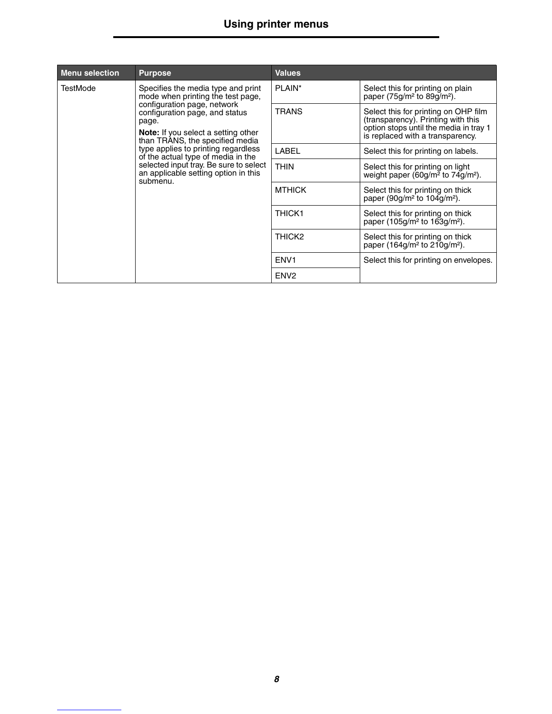| <b>Menu selection</b>                                                                                                                                                                                                                          | <b>Purpose</b>                                                                                                                                                          | <b>Values</b>                                                                                                                                            |                                                                                             |
|------------------------------------------------------------------------------------------------------------------------------------------------------------------------------------------------------------------------------------------------|-------------------------------------------------------------------------------------------------------------------------------------------------------------------------|----------------------------------------------------------------------------------------------------------------------------------------------------------|---------------------------------------------------------------------------------------------|
| TestMode<br>Specifies the media type and print<br>mode when printing the test page,<br>configuration page, network<br>configuration page, and status<br>page.<br><b>Note:</b> If you select a setting other<br>than TRANS, the specified media |                                                                                                                                                                         | PLAIN*                                                                                                                                                   | Select this for printing on plain<br>paper (75g/m <sup>2</sup> to 89g/m <sup>2</sup> ).     |
|                                                                                                                                                                                                                                                | <b>TRANS</b>                                                                                                                                                            | Select this for printing on OHP film<br>(transparency). Printing with this<br>option stops until the media in tray 1<br>is replaced with a transparency. |                                                                                             |
|                                                                                                                                                                                                                                                | type applies to printing regardless<br>of the actual type of media in the<br>selected input tray. Be sure to select<br>an applicable setting option in this<br>submenu. | LABEL                                                                                                                                                    | Select this for printing on labels.                                                         |
|                                                                                                                                                                                                                                                |                                                                                                                                                                         | <b>THIN</b>                                                                                                                                              | Select this for printing on light<br>weight paper (60g/m <sup>2</sup> to $74q/m^2$ ).       |
|                                                                                                                                                                                                                                                |                                                                                                                                                                         | <b>MTHICK</b>                                                                                                                                            | Select this for printing on thick<br>paper (90g/m <sup>2</sup> to $104$ g/m <sup>2</sup> ). |
|                                                                                                                                                                                                                                                |                                                                                                                                                                         | <b>THICK1</b>                                                                                                                                            | Select this for printing on thick<br>paper (105g/m <sup>2</sup> to 163g/m <sup>2</sup> ).   |
|                                                                                                                                                                                                                                                | THICK <sub>2</sub>                                                                                                                                                      | Select this for printing on thick<br>paper (164g/m <sup>2</sup> to 210g/m <sup>2</sup> ).                                                                |                                                                                             |
|                                                                                                                                                                                                                                                | ENV <sub>1</sub>                                                                                                                                                        | Select this for printing on envelopes.                                                                                                                   |                                                                                             |
|                                                                                                                                                                                                                                                | ENV <sub>2</sub>                                                                                                                                                        |                                                                                                                                                          |                                                                                             |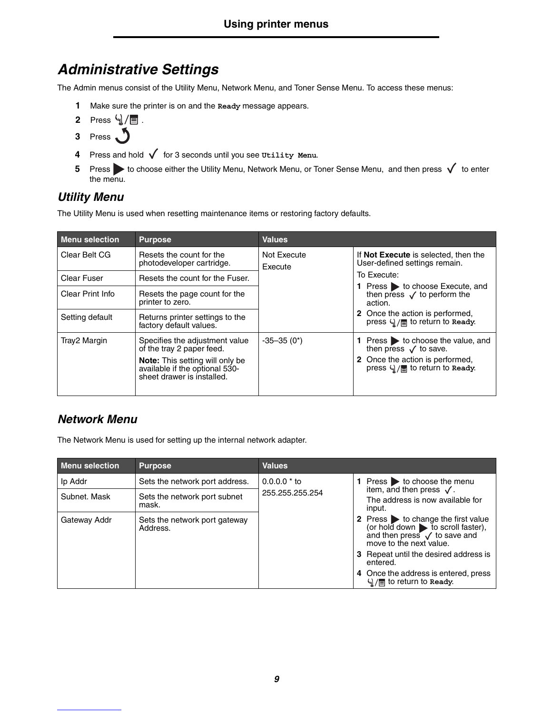### *Administrative Settings*

The Admin menus consist of the Utility Menu, Network Menu, and Toner Sense Menu. To access these menus:

- **1** Make sure the printer is on and the **Ready** message appears.
- **2** Press  $\sqrt{u}/\sqrt{u}$ .
- **3** Press . 5
- **4** Press and hold  $\sqrt{\ }$  for 3 seconds until you see Utility Menu.
- **5** Press to choose either the Utility Menu, Network Menu, or Toner Sense Menu, and then press  $\checkmark$  to enter the menu.

### *Utility Menu*

The Utility Menu is used when resetting maintenance items or restoring factory defaults.

| <b>Menu selection</b> | <b>Purpose</b>                                                                                                                                                        | <b>Values</b>          |                                                                                                                                          |
|-----------------------|-----------------------------------------------------------------------------------------------------------------------------------------------------------------------|------------------------|------------------------------------------------------------------------------------------------------------------------------------------|
| Clear Belt CG         | Resets the count for the<br>photodeveloper cartridge.                                                                                                                 | Not Execute<br>Execute | If Not Execute is selected, then the<br>User-defined settings remain.                                                                    |
| Clear Fuser           | Resets the count for the Fuser.                                                                                                                                       |                        | To Execute:                                                                                                                              |
| Clear Print Info      | Resets the page count for the<br>printer to zero.                                                                                                                     |                        | 1 Press > to choose Execute, and<br>then press $\sqrt{}$ to perform the<br>action.                                                       |
| Setting default       | Returns printer settings to the<br>factory default values.                                                                                                            |                        | 2 Once the action is performed,<br>press $\mathcal{L}/\mathcal{L}$ to return to Ready.                                                   |
| Tray2 Margin          | Specifies the adjustment value<br>of the tray 2 paper feed.<br><b>Note:</b> This setting will only be<br>available if the optional 530-<br>sheet drawer is installed. | $-35-35(0^*)$          | 1 Press > to choose the value, and<br>then press $\sqrt{}$ to save.<br>2 Once the action is performed,<br>press 4/ / to return to Ready. |

### *Network Menu*

The Network Menu is used for setting up the internal network adapter.

| <b>Menu selection</b> | <b>Purpose</b>                            | <b>Values</b>                                                                                                                                                           |                                                                                 |
|-----------------------|-------------------------------------------|-------------------------------------------------------------------------------------------------------------------------------------------------------------------------|---------------------------------------------------------------------------------|
| Ip Addr               | Sets the network port address.            | $0.0.0.0 * to$<br>255.255.255.254                                                                                                                                       | 1 Press $\triangleright$ to choose the menu                                     |
| Subnet, Mask          | Sets the network port subnet<br>mask.     |                                                                                                                                                                         | item, and then press $\sqrt{ }$ .<br>The address is now available for<br>input. |
| Gateway Addr          | Sets the network port gateway<br>Address. | 2 Press $\rightarrow$ to change the first value<br>(or hold down $\triangleright$ to scroll faster),<br>and then press $\sqrt{}$ to save and<br>move to the next value. |                                                                                 |
|                       |                                           |                                                                                                                                                                         | 3 Repeat until the desired address is<br>entered.                               |
|                       |                                           |                                                                                                                                                                         | 4 Once the address is entered, press<br>$\frac{1}{2}$ to return to Ready.       |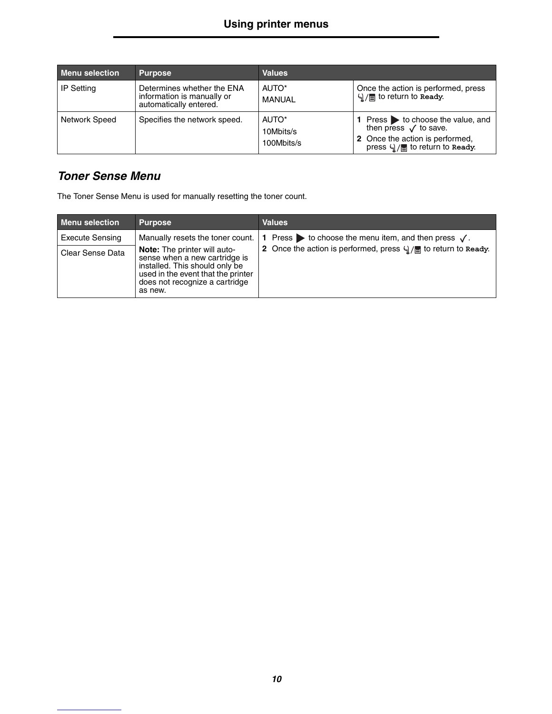| <b>Menu selection</b> | <b>Purpose</b>                                                                     | <b>Values</b>                                |                                                                                                                                             |
|-----------------------|------------------------------------------------------------------------------------|----------------------------------------------|---------------------------------------------------------------------------------------------------------------------------------------------|
| <b>IP Setting</b>     | Determines whether the ENA<br>information is manually or<br>automatically entered. | AUTO*<br>MANUAL                              | Once the action is performed, press<br>$\mathcal{A}_\parallel/\equiv$ to return to Ready.                                                   |
| <b>Network Speed</b>  | Specifies the network speed.                                                       | AUTO <sup>*</sup><br>10Mbits/s<br>100Mbits/s | 1 Press > to choose the value, and<br>then press $\sqrt{ }$ to save.<br>2 Once the action is performed,<br>press 4/ / c to return to Ready. |

### *Toner Sense Menu*

The Toner Sense Menu is used for manually resetting the toner count.

| <b>Menu selection</b>  | <b>Purpose</b>                                                                                                                                                                            | <b>Values</b>                                                                 |
|------------------------|-------------------------------------------------------------------------------------------------------------------------------------------------------------------------------------------|-------------------------------------------------------------------------------|
| <b>Execute Sensing</b> | Manually resets the toner count.                                                                                                                                                          | 1 Press $\triangleright$ to choose the menu item, and then press $\sqrt{ }$ . |
| Clear Sense Data       | <b>Note:</b> The printer will auto-<br>sense when a new cartridge is<br>installed. This should only be<br>used in the event that the printer<br>does not recognize a cartridge<br>as new. | 2 Once the action is performed, press $\frac{1}{2}$ or return to Ready.       |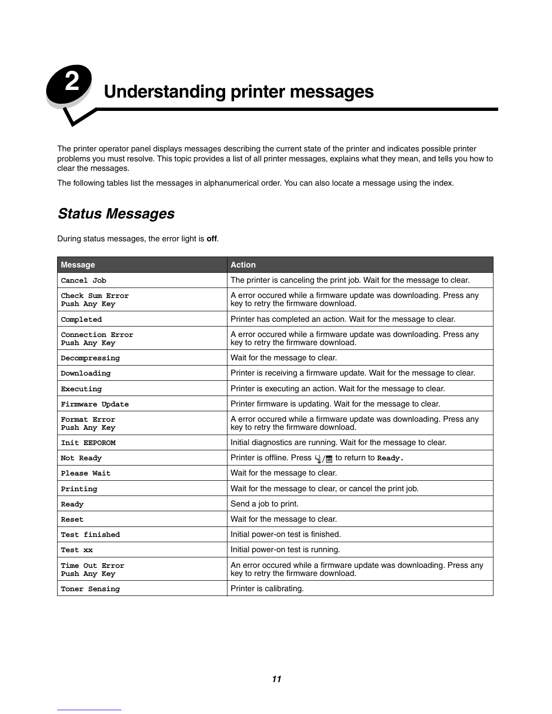

The printer operator panel displays messages describing the current state of the printer and indicates possible printer problems you must resolve. This topic provides a list of all printer messages, explains what they mean, and tells you how to clear the messages.

The following tables list the messages in alphanumerical order. You can also locate a message using the index.

### *Status Messages*

During status messages, the error light is **off**.

| <b>Message</b>                   | <b>Action</b>                                                                                              |
|----------------------------------|------------------------------------------------------------------------------------------------------------|
| Cancel Job                       | The printer is canceling the print job. Wait for the message to clear.                                     |
| Check Sum Error<br>Push Any Key  | A error occured while a firmware update was downloading. Press any<br>key to retry the firmware download.  |
| Completed                        | Printer has completed an action. Wait for the message to clear.                                            |
| Connection Error<br>Push Any Key | A error occured while a firmware update was downloading. Press any<br>key to retry the firmware download.  |
| Decompressing                    | Wait for the message to clear.                                                                             |
| Downloading                      | Printer is receiving a firmware update. Wait for the message to clear.                                     |
| Executing                        | Printer is executing an action. Wait for the message to clear.                                             |
| Firmware Update                  | Printer firmware is updating. Wait for the message to clear.                                               |
| Format Error<br>Push Any Key     | A error occured while a firmware update was downloading. Press any<br>key to retry the firmware download.  |
| Init EEPOROM                     | Initial diagnostics are running. Wait for the message to clear.                                            |
| Not Ready                        | Printer is offline. Press $\frac{1}{2}$ or return to Ready.                                                |
| Please Wait                      | Wait for the message to clear.                                                                             |
| Printing                         | Wait for the message to clear, or cancel the print job.                                                    |
| Ready                            | Send a job to print.                                                                                       |
| Reset                            | Wait for the message to clear.                                                                             |
| Test finished                    | Initial power-on test is finished.                                                                         |
| Test xx                          | Initial power-on test is running.                                                                          |
| Time Out Error<br>Push Any Key   | An error occured while a firmware update was downloading. Press any<br>key to retry the firmware download. |
| Toner Sensing                    | Printer is calibrating.                                                                                    |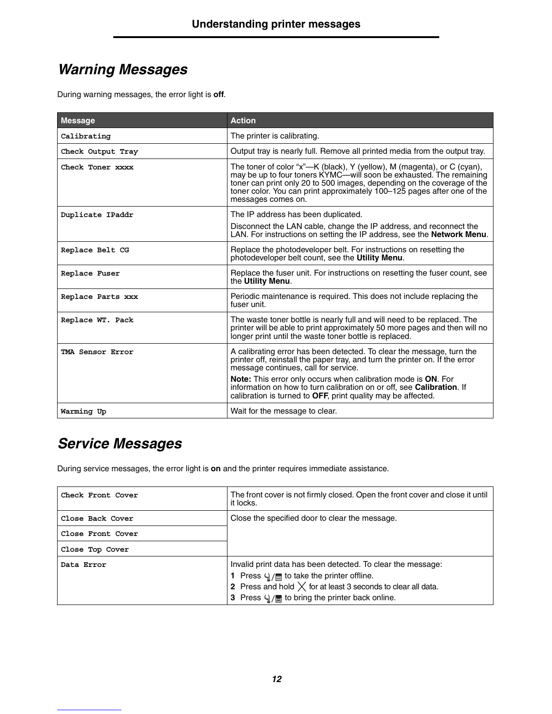### *Warning Messages*

During warning messages, the error light is **off**.

| <b>Message</b>    | <b>Action</b>                                                                                                                                                                                                                                                                                                              |
|-------------------|----------------------------------------------------------------------------------------------------------------------------------------------------------------------------------------------------------------------------------------------------------------------------------------------------------------------------|
| Calibrating       | The printer is calibrating.                                                                                                                                                                                                                                                                                                |
| Check Output Tray | Output tray is nearly full. Remove all printed media from the output tray.                                                                                                                                                                                                                                                 |
| Check Toner xxxx  | The toner of color "x"—K (black), Y (yellow), M (magenta), or C (cyan),<br>may be up to four toners KYMC—will soon be exhausted. The remaining<br>toner can print only 20 to 500 images, depending on the coverage of the<br>toner color. You can print approximately 100–125 pages after one of the<br>messages comes on. |
| Duplicate IPaddr  | The IP address has been duplicated.<br>Disconnect the LAN cable, change the IP address, and reconnect the<br>LAN. For instructions on setting the IP address, see the Network Menu.                                                                                                                                        |
| Replace Belt CG   | Replace the photodeveloper belt. For instructions on resetting the<br>photodeveloper belt count, see the Utility Menu.                                                                                                                                                                                                     |
| Replace Fuser     | Replace the fuser unit. For instructions on resetting the fuser count, see<br>the Utility Menu.                                                                                                                                                                                                                            |
| Replace Parts xxx | Periodic maintenance is required. This does not include replacing the<br>fuser unit.                                                                                                                                                                                                                                       |
| Replace WT. Pack  | The waste toner bottle is nearly full and will need to be replaced. The<br>printer will be able to print approximately 50 more pages and then will no<br>longer print until the waste toner bottle is replaced.                                                                                                            |
| TMA Sensor Error  | A calibrating error has been detected. To clear the message, turn the<br>printer off, reinstall the paper tray, and turn the printer on. If the error<br>message continues, call for service.                                                                                                                              |
|                   | <b>Note:</b> This error only occurs when calibration mode is ON. For<br>information on how to turn calibration on or off, see <b>Calibration</b> . If<br>calibration is turned to OFF, print quality may be affected.                                                                                                      |
| Warming Up        | Wait for the message to clear.                                                                                                                                                                                                                                                                                             |

### *Service Messages*

During service messages, the error light is **on** and the printer requires immediate assistance.

| Check Front Cover | The front cover is not firmly closed. Open the front cover and close it until<br>it locks.                                                                                                                                                                           |
|-------------------|----------------------------------------------------------------------------------------------------------------------------------------------------------------------------------------------------------------------------------------------------------------------|
| Close Back Cover  | Close the specified door to clear the message.                                                                                                                                                                                                                       |
| Close Front Cover |                                                                                                                                                                                                                                                                      |
| Close Top Cover   |                                                                                                                                                                                                                                                                      |
| Data Error        | Invalid print data has been detected. To clear the message:<br><b>1</b> Press $\frac{1}{2}$ / $\equiv$ to take the printer offline.<br>2 Press and hold $\times$ for at least 3 seconds to clear all data.<br>3 Press $\sqrt{1/2}$ to bring the printer back online. |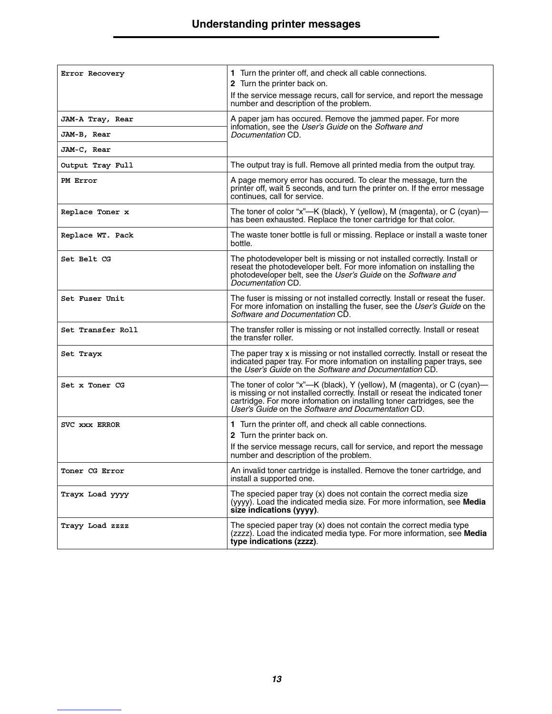| Error Recovery    | 1 Turn the printer off, and check all cable connections.                                                                                                                                                                                                                                |
|-------------------|-----------------------------------------------------------------------------------------------------------------------------------------------------------------------------------------------------------------------------------------------------------------------------------------|
|                   | 2 Turn the printer back on.<br>If the service message recurs, call for service, and report the message                                                                                                                                                                                  |
|                   | number and description of the problem.                                                                                                                                                                                                                                                  |
| JAM-A Tray, Rear  | A paper jam has occured. Remove the jammed paper. For more<br>infomation, see the User's Guide on the Software and                                                                                                                                                                      |
| JAM-B, Rear       | Documentation CD.                                                                                                                                                                                                                                                                       |
| JAM-C, Rear       |                                                                                                                                                                                                                                                                                         |
| Output Tray Full  | The output tray is full. Remove all printed media from the output tray.                                                                                                                                                                                                                 |
| PM Error          | A page memory error has occured. To clear the message, turn the<br>printer off, wait 5 seconds, and turn the printer on. If the error message<br>continues, call for service.                                                                                                           |
| Replace Toner x   | The toner of color "x"—K (black), Y (yellow), M (magenta), or C (cyan)—<br>has been exhausted. Replace the toner cartridge for that color.                                                                                                                                              |
| Replace WT. Pack  | The waste toner bottle is full or missing. Replace or install a waste toner<br>bottle.                                                                                                                                                                                                  |
| Set Belt CG       | The photodeveloper belt is missing or not installed correctly. Install or<br>reseat the photodeveloper belt. For more infomation on installing the<br>photodeveloper belt, see the User's Guide on the Software and<br>Documentation CD.                                                |
| Set Fuser Unit    | The fuser is missing or not installed correctly. Install or reseat the fuser.<br>For more infomation on installing the fuser, see the User's Guide on the<br>Software and Documentation CD.                                                                                             |
| Set Transfer Roll | The transfer roller is missing or not installed correctly. Install or reseat<br>the transfer roller.                                                                                                                                                                                    |
| Set Trayx         | The paper tray x is missing or not installed correctly. Install or reseat the<br>indicated paper tray. For more infomation on installing paper trays, see<br>the User's Guide on the Software and Documentation CD.                                                                     |
| Set x Toner CG    | The toner of color "x"—K (black), Y (yellow), M (magenta), or C (cyan)—<br>is missing or not installed correctly. Install or reseat the indicated toner<br>cartridge. For more infomation on installing toner cartridges, see the<br>User's Guide on the Software and Documentation CD. |
| SVC XXX ERROR     | 1 Turn the printer off, and check all cable connections.<br>2 Turn the printer back on.                                                                                                                                                                                                 |
|                   | If the service message recurs, call for service, and report the message<br>number and description of the problem.                                                                                                                                                                       |
| Toner CG Error    | An invalid toner cartridge is installed. Remove the toner cartridge, and<br>install a supported one.                                                                                                                                                                                    |
| Trayx Load yyyy   | The specied paper tray $(x)$ does not contain the correct media size<br>(yyyy). Load the indicated media size. For more information, see Media<br>size indications (yyyy).                                                                                                              |
| Trayy Load zzzz   | The specied paper tray (x) does not contain the correct media type<br>(zzzz). Load the indicated media type. For more information, see Media<br>type indications (zzzz).                                                                                                                |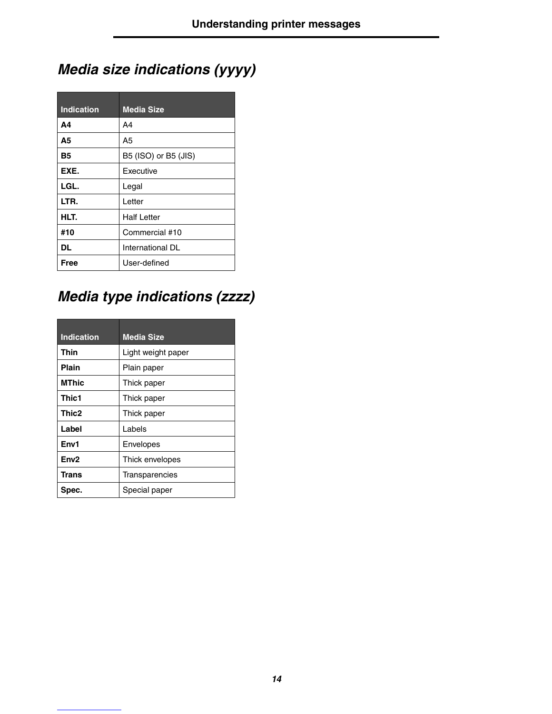## *Media size indications (yyyy)*

| <b>Indication</b> | <b>Media Size</b>    |
|-------------------|----------------------|
| A4                | A4                   |
| A5                | A5                   |
| <b>B5</b>         | B5 (ISO) or B5 (JIS) |
| EXE.              | Executive            |
| LGL.              | Legal                |
| LTR.              | Letter               |
| HLT.              | <b>Half Letter</b>   |
| #10               | Commercial #10       |
| DL                | International DL     |
| Free              | User-defined         |

## *Media type indications (zzzz)*

| <b>Indication</b> | <b>Media Size</b>  |
|-------------------|--------------------|
| Thin              | Light weight paper |
| Plain             | Plain paper        |
| <b>MThic</b>      | Thick paper        |
| Thic1             | Thick paper        |
| Thic2             | Thick paper        |
| Label             | Labels             |
| Env1              | Envelopes          |
| Env <sub>2</sub>  | Thick envelopes    |
| Trans             | Transparencies     |
| Spec.             | Special paper      |